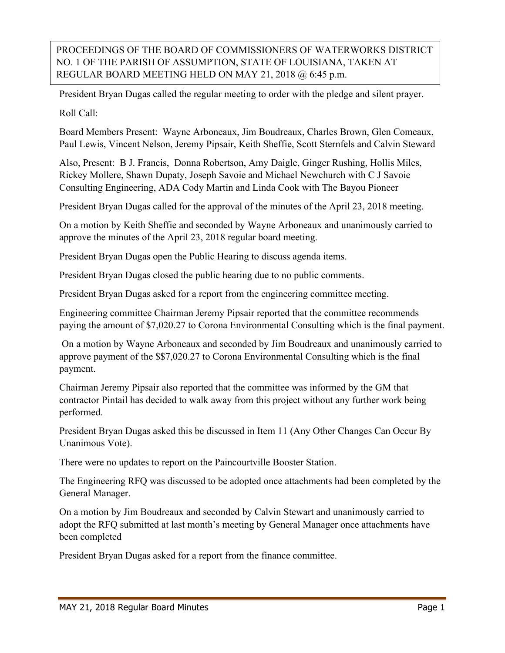PROCEEDINGS OF THE BOARD OF COMMISSIONERS OF WATERWORKS DISTRICT NO. 1 OF THE PARISH OF ASSUMPTION, STATE OF LOUISIANA, TAKEN AT REGULAR BOARD MEETING HELD ON MAY 21, 2018 @ 6:45 p.m.

President Bryan Dugas called the regular meeting to order with the pledge and silent prayer.

Roll Call:

Board Members Present: Wayne Arboneaux, Jim Boudreaux, Charles Brown, Glen Comeaux, Paul Lewis, Vincent Nelson, Jeremy Pipsair, Keith Sheffie, Scott Sternfels and Calvin Steward

Also, Present: B J. Francis, Donna Robertson, Amy Daigle, Ginger Rushing, Hollis Miles, Rickey Mollere, Shawn Dupaty, Joseph Savoie and Michael Newchurch with C J Savoie Consulting Engineering, ADA Cody Martin and Linda Cook with The Bayou Pioneer

President Bryan Dugas called for the approval of the minutes of the April 23, 2018 meeting.

On a motion by Keith Sheffie and seconded by Wayne Arboneaux and unanimously carried to approve the minutes of the April 23, 2018 regular board meeting.

President Bryan Dugas open the Public Hearing to discuss agenda items.

President Bryan Dugas closed the public hearing due to no public comments.

President Bryan Dugas asked for a report from the engineering committee meeting.

Engineering committee Chairman Jeremy Pipsair reported that the committee recommends paying the amount of \$7,020.27 to Corona Environmental Consulting which is the final payment.

On a motion by Wayne Arboneaux and seconded by Jim Boudreaux and unanimously carried to approve payment of the \$\$7,020.27 to Corona Environmental Consulting which is the final payment.

Chairman Jeremy Pipsair also reported that the committee was informed by the GM that contractor Pintail has decided to walk away from this project without any further work being performed.

President Bryan Dugas asked this be discussed in Item 11 (Any Other Changes Can Occur By Unanimous Vote).

There were no updates to report on the Paincourtville Booster Station.

The Engineering RFQ was discussed to be adopted once attachments had been completed by the General Manager.

On a motion by Jim Boudreaux and seconded by Calvin Stewart and unanimously carried to adopt the RFQ submitted at last month's meeting by General Manager once attachments have been completed

President Bryan Dugas asked for a report from the finance committee.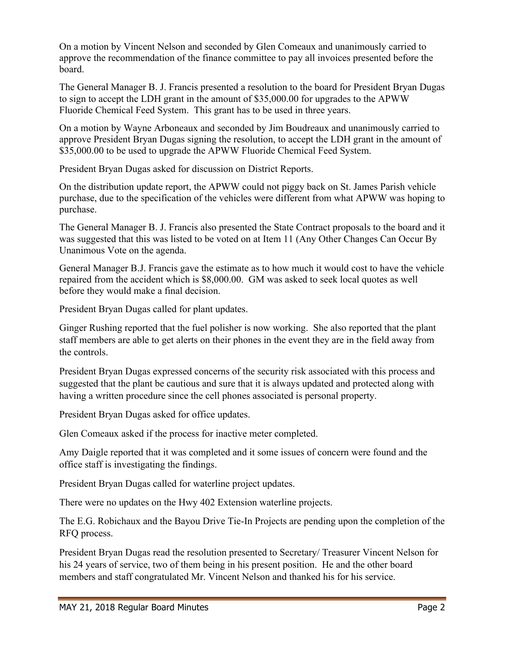On a motion by Vincent Nelson and seconded by Glen Comeaux and unanimously carried to approve the recommendation of the finance committee to pay all invoices presented before the board.

The General Manager B. J. Francis presented a resolution to the board for President Bryan Dugas to sign to accept the LDH grant in the amount of \$35,000.00 for upgrades to the APWW Fluoride Chemical Feed System. This grant has to be used in three years.

On a motion by Wayne Arboneaux and seconded by Jim Boudreaux and unanimously carried to approve President Bryan Dugas signing the resolution, to accept the LDH grant in the amount of \$35,000.00 to be used to upgrade the APWW Fluoride Chemical Feed System.

President Bryan Dugas asked for discussion on District Reports.

On the distribution update report, the APWW could not piggy back on St. James Parish vehicle purchase, due to the specification of the vehicles were different from what APWW was hoping to purchase.

The General Manager B. J. Francis also presented the State Contract proposals to the board and it was suggested that this was listed to be voted on at Item 11 (Any Other Changes Can Occur By Unanimous Vote on the agenda.

General Manager B.J. Francis gave the estimate as to how much it would cost to have the vehicle repaired from the accident which is \$8,000.00. GM was asked to seek local quotes as well before they would make a final decision.

President Bryan Dugas called for plant updates.

Ginger Rushing reported that the fuel polisher is now working. She also reported that the plant staff members are able to get alerts on their phones in the event they are in the field away from the controls.

President Bryan Dugas expressed concerns of the security risk associated with this process and suggested that the plant be cautious and sure that it is always updated and protected along with having a written procedure since the cell phones associated is personal property.

President Bryan Dugas asked for office updates.

Glen Comeaux asked if the process for inactive meter completed.

Amy Daigle reported that it was completed and it some issues of concern were found and the office staff is investigating the findings.

President Bryan Dugas called for waterline project updates.

There were no updates on the Hwy 402 Extension waterline projects.

The E.G. Robichaux and the Bayou Drive Tie-In Projects are pending upon the completion of the RFQ process.

President Bryan Dugas read the resolution presented to Secretary/ Treasurer Vincent Nelson for his 24 years of service, two of them being in his present position. He and the other board members and staff congratulated Mr. Vincent Nelson and thanked his for his service.